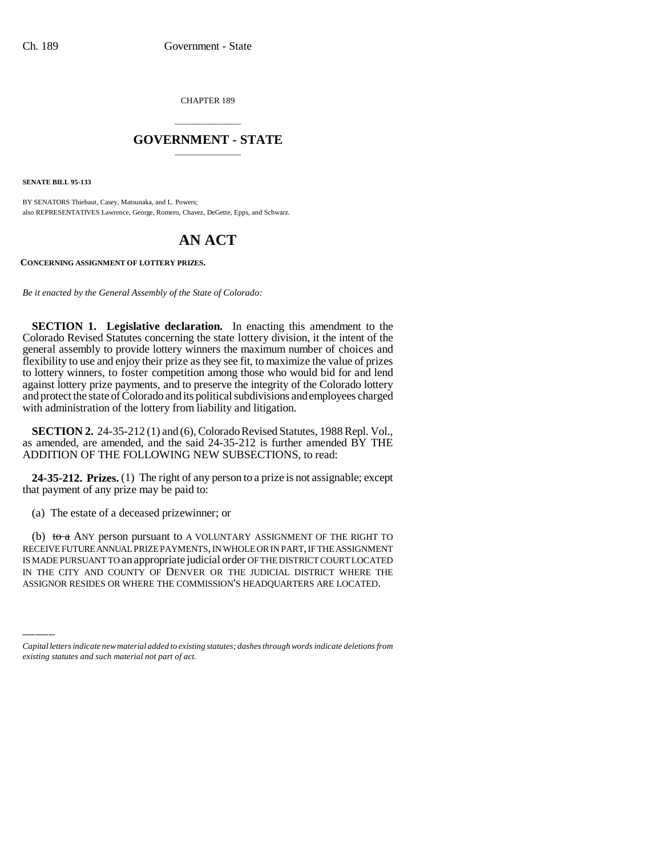CHAPTER 189

## \_\_\_\_\_\_\_\_\_\_\_\_\_\_\_ **GOVERNMENT - STATE** \_\_\_\_\_\_\_\_\_\_\_\_\_\_\_

**SENATE BILL 95-133**

BY SENATORS Thiebaut, Casey, Matsunaka, and L. Powers; also REPRESENTATIVES Lawrence, George, Romero, Chavez, DeGette, Epps, and Schwarz.

## **AN ACT**

**CONCERNING ASSIGNMENT OF LOTTERY PRIZES.**

*Be it enacted by the General Assembly of the State of Colorado:*

**SECTION 1. Legislative declaration.** In enacting this amendment to the Colorado Revised Statutes concerning the state lottery division, it the intent of the general assembly to provide lottery winners the maximum number of choices and flexibility to use and enjoy their prize as they see fit, to maximize the value of prizes to lottery winners, to foster competition among those who would bid for and lend against lottery prize payments, and to preserve the integrity of the Colorado lottery and protect the state of Colorado and its political subdivisions and employees charged with administration of the lottery from liability and litigation.

**SECTION 2.** 24-35-212 (1) and (6), Colorado Revised Statutes, 1988 Repl. Vol., as amended, are amended, and the said 24-35-212 is further amended BY THE ADDITION OF THE FOLLOWING NEW SUBSECTIONS, to read:

**24-35-212. Prizes.** (1) The right of any person to a prize is not assignable; except that payment of any prize may be paid to:

(a) The estate of a deceased prizewinner; or

RECEIVE FUTURE ANNUAL PRIZE PAYMENTS, IN WHOLE OR IN PART, IF THE ASSIGNMENT<br>IS MADE PURSUANT TO an appropriate judicial order OF THE DISTRICT COURT LOCATED (b) to a ANY person pursuant to A VOLUNTARY ASSIGNMENT OF THE RIGHT TO RECEIVE FUTURE ANNUAL PRIZE PAYMENTS, IN WHOLE OR IN PART, IF THE ASSIGNMENT IN THE CITY AND COUNTY OF DENVER OR THE JUDICIAL DISTRICT WHERE THE ASSIGNOR RESIDES OR WHERE THE COMMISSION'S HEADQUARTERS ARE LOCATED.

*Capital letters indicate new material added to existing statutes; dashes through words indicate deletions from existing statutes and such material not part of act.*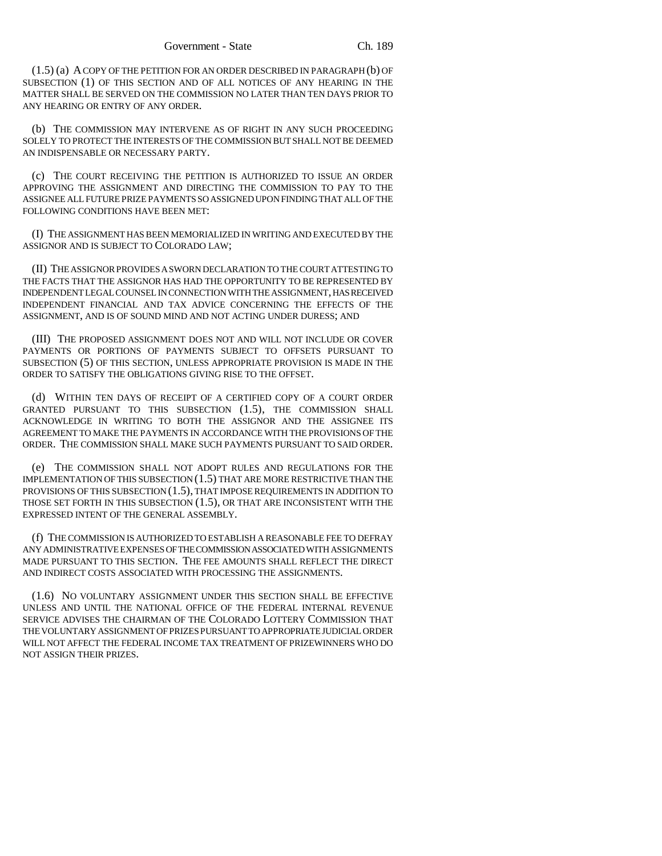(1.5) (a) A COPY OF THE PETITION FOR AN ORDER DESCRIBED IN PARAGRAPH (b) OF SUBSECTION (1) OF THIS SECTION AND OF ALL NOTICES OF ANY HEARING IN THE MATTER SHALL BE SERVED ON THE COMMISSION NO LATER THAN TEN DAYS PRIOR TO ANY HEARING OR ENTRY OF ANY ORDER.

(b) THE COMMISSION MAY INTERVENE AS OF RIGHT IN ANY SUCH PROCEEDING SOLELY TO PROTECT THE INTERESTS OF THE COMMISSION BUT SHALL NOT BE DEEMED AN INDISPENSABLE OR NECESSARY PARTY.

(c) THE COURT RECEIVING THE PETITION IS AUTHORIZED TO ISSUE AN ORDER APPROVING THE ASSIGNMENT AND DIRECTING THE COMMISSION TO PAY TO THE ASSIGNEE ALL FUTURE PRIZE PAYMENTS SO ASSIGNED UPON FINDING THAT ALL OF THE FOLLOWING CONDITIONS HAVE BEEN MET:

(I) THE ASSIGNMENT HAS BEEN MEMORIALIZED IN WRITING AND EXECUTED BY THE ASSIGNOR AND IS SUBJECT TO COLORADO LAW;

(II) THE ASSIGNOR PROVIDES A SWORN DECLARATION TO THE COURT ATTESTING TO THE FACTS THAT THE ASSIGNOR HAS HAD THE OPPORTUNITY TO BE REPRESENTED BY INDEPENDENT LEGAL COUNSEL IN CONNECTION WITH THE ASSIGNMENT, HAS RECEIVED INDEPENDENT FINANCIAL AND TAX ADVICE CONCERNING THE EFFECTS OF THE ASSIGNMENT, AND IS OF SOUND MIND AND NOT ACTING UNDER DURESS; AND

(III) THE PROPOSED ASSIGNMENT DOES NOT AND WILL NOT INCLUDE OR COVER PAYMENTS OR PORTIONS OF PAYMENTS SUBJECT TO OFFSETS PURSUANT TO SUBSECTION (5) OF THIS SECTION, UNLESS APPROPRIATE PROVISION IS MADE IN THE ORDER TO SATISFY THE OBLIGATIONS GIVING RISE TO THE OFFSET.

(d) WITHIN TEN DAYS OF RECEIPT OF A CERTIFIED COPY OF A COURT ORDER GRANTED PURSUANT TO THIS SUBSECTION (1.5), THE COMMISSION SHALL ACKNOWLEDGE IN WRITING TO BOTH THE ASSIGNOR AND THE ASSIGNEE ITS AGREEMENT TO MAKE THE PAYMENTS IN ACCORDANCE WITH THE PROVISIONS OF THE ORDER. THE COMMISSION SHALL MAKE SUCH PAYMENTS PURSUANT TO SAID ORDER.

(e) THE COMMISSION SHALL NOT ADOPT RULES AND REGULATIONS FOR THE IMPLEMENTATION OF THIS SUBSECTION (1.5) THAT ARE MORE RESTRICTIVE THAN THE PROVISIONS OF THIS SUBSECTION (1.5), THAT IMPOSE REQUIREMENTS IN ADDITION TO THOSE SET FORTH IN THIS SUBSECTION (1.5), OR THAT ARE INCONSISTENT WITH THE EXPRESSED INTENT OF THE GENERAL ASSEMBLY.

(f) THE COMMISSION IS AUTHORIZED TO ESTABLISH A REASONABLE FEE TO DEFRAY ANY ADMINISTRATIVE EXPENSES OF THE COMMISSION ASSOCIATED WITH ASSIGNMENTS MADE PURSUANT TO THIS SECTION. THE FEE AMOUNTS SHALL REFLECT THE DIRECT AND INDIRECT COSTS ASSOCIATED WITH PROCESSING THE ASSIGNMENTS.

(1.6) NO VOLUNTARY ASSIGNMENT UNDER THIS SECTION SHALL BE EFFECTIVE UNLESS AND UNTIL THE NATIONAL OFFICE OF THE FEDERAL INTERNAL REVENUE SERVICE ADVISES THE CHAIRMAN OF THE COLORADO LOTTERY COMMISSION THAT THE VOLUNTARY ASSIGNMENT OF PRIZES PURSUANT TO APPROPRIATE JUDICIAL ORDER WILL NOT AFFECT THE FEDERAL INCOME TAX TREATMENT OF PRIZEWINNERS WHO DO NOT ASSIGN THEIR PRIZES.